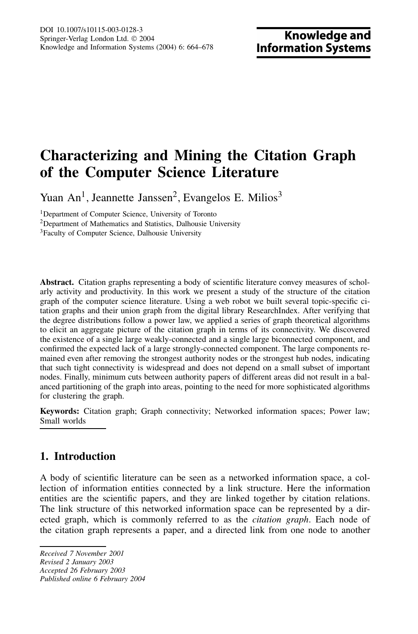# **Characterizing and Mining the Citation Graph of the Computer Science Literature**

Yuan  $An<sup>1</sup>$ , Jeannette Janssen<sup>2</sup>, Evangelos E. Milios<sup>3</sup>

<sup>1</sup>Department of Computer Science, University of Toronto

2Department of Mathematics and Statistics, Dalhousie University

3Faculty of Computer Science, Dalhousie University

**Abstract.** Citation graphs representing a body of scientific literature convey measures of scholarly activity and productivity. In this work we present a study of the structure of the citation graph of the computer science literature. Using a web robot we built several topic-specific citation graphs and their union graph from the digital library ResearchIndex. After verifying that the degree distributions follow a power law, we applied a series of graph theoretical algorithms to elicit an aggregate picture of the citation graph in terms of its connectivity. We discovered the existence of a single large weakly-connected and a single large biconnected component, and confirmed the expected lack of a large strongly-connected component. The large components remained even after removing the strongest authority nodes or the strongest hub nodes, indicating that such tight connectivity is widespread and does not depend on a small subset of important nodes. Finally, minimum cuts between authority papers of different areas did not result in a balanced partitioning of the graph into areas, pointing to the need for more sophisticated algorithms for clustering the graph.

**Keywords:** Citation graph; Graph connectivity; Networked information spaces; Power law; Small worlds

# **1. Introduction**

A body of scientific literature can be seen as a networked information space, a collection of information entities connected by a link structure. Here the information entities are the scientific papers, and they are linked together by citation relations. The link structure of this networked information space can be represented by a directed graph, which is commonly referred to as the *citation graph*. Each node of the citation graph represents a paper, and a directed link from one node to another

*Received 7 November 2001 Revised 2 January 2003 Accepted 26 February 2003 Published online 6 February 2004*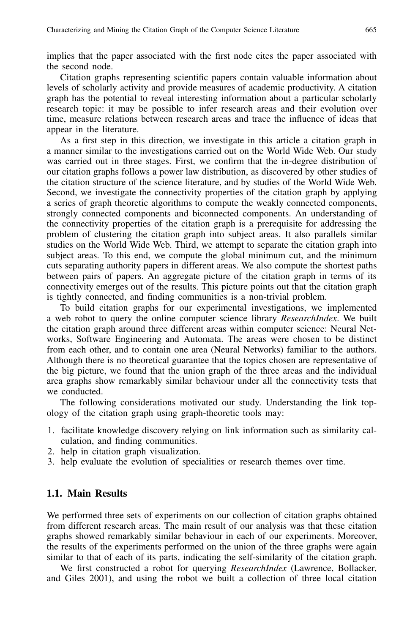implies that the paper associated with the first node cites the paper associated with the second node.

Citation graphs representing scientific papers contain valuable information about levels of scholarly activity and provide measures of academic productivity. A citation graph has the potential to reveal interesting information about a particular scholarly research topic: it may be possible to infer research areas and their evolution over time, measure relations between research areas and trace the influence of ideas that appear in the literature.

As a first step in this direction, we investigate in this article a citation graph in a manner similar to the investigations carried out on the World Wide Web. Our study was carried out in three stages. First, we confirm that the in-degree distribution of our citation graphs follows a power law distribution, as discovered by other studies of the citation structure of the science literature, and by studies of the World Wide Web. Second, we investigate the connectivity properties of the citation graph by applying a series of graph theoretic algorithms to compute the weakly connected components, strongly connected components and biconnected components. An understanding of the connectivity properties of the citation graph is a prerequisite for addressing the problem of clustering the citation graph into subject areas. It also parallels similar studies on the World Wide Web. Third, we attempt to separate the citation graph into subject areas. To this end, we compute the global minimum cut, and the minimum cuts separating authority papers in different areas. We also compute the shortest paths between pairs of papers. An aggregate picture of the citation graph in terms of its connectivity emerges out of the results. This picture points out that the citation graph is tightly connected, and finding communities is a non-trivial problem.

To build citation graphs for our experimental investigations, we implemented a web robot to query the online computer science library *ResearchIndex*. We built the citation graph around three different areas within computer science: Neural Networks, Software Engineering and Automata. The areas were chosen to be distinct from each other, and to contain one area (Neural Networks) familiar to the authors. Although there is no theoretical guarantee that the topics chosen are representative of the big picture, we found that the union graph of the three areas and the individual area graphs show remarkably similar behaviour under all the connectivity tests that we conducted.

The following considerations motivated our study. Understanding the link topology of the citation graph using graph-theoretic tools may:

- 1. facilitate knowledge discovery relying on link information such as similarity calculation, and finding communities.
- 2. help in citation graph visualization.
- 3. help evaluate the evolution of specialities or research themes over time.

## **1.1. Main Results**

We performed three sets of experiments on our collection of citation graphs obtained from different research areas. The main result of our analysis was that these citation graphs showed remarkably similar behaviour in each of our experiments. Moreover, the results of the experiments performed on the union of the three graphs were again similar to that of each of its parts, indicating the self-similarity of the citation graph.

We first constructed a robot for querying *ResearchIndex* (Lawrence, Bollacker, and Giles 2001), and using the robot we built a collection of three local citation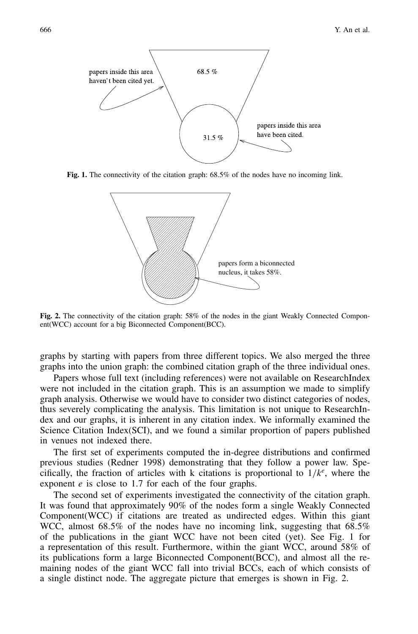

**Fig. 1.** The connectivity of the citation graph: 68.5% of the nodes have no incoming link.



**Fig. 2.** The connectivity of the citation graph: 58% of the nodes in the giant Weakly Connected Component(WCC) account for a big Biconnected Component(BCC).

graphs by starting with papers from three different topics. We also merged the three graphs into the union graph: the combined citation graph of the three individual ones.

Papers whose full text (including references) were not available on ResearchIndex were not included in the citation graph. This is an assumption we made to simplify graph analysis. Otherwise we would have to consider two distinct categories of nodes, thus severely complicating the analysis. This limitation is not unique to ResearchIndex and our graphs, it is inherent in any citation index. We informally examined the Science Citation Index(SCI), and we found a similar proportion of papers published in venues not indexed there.

The first set of experiments computed the in-degree distributions and confirmed previous studies (Redner 1998) demonstrating that they follow a power law. Specifically, the fraction of articles with k citations is proportional to  $1/k<sup>e</sup>$ , where the exponent *e* is close to 1.7 for each of the four graphs.

The second set of experiments investigated the connectivity of the citation graph. It was found that approximately 90% of the nodes form a single Weakly Connected Component(WCC) if citations are treated as undirected edges. Within this giant WCC, almost 68.5% of the nodes have no incoming link, suggesting that 68.5% of the publications in the giant WCC have not been cited (yet). See Fig. 1 for a representation of this result. Furthermore, within the giant WCC, around 58% of its publications form a large Biconnected Component(BCC), and almost all the remaining nodes of the giant WCC fall into trivial BCCs, each of which consists of a single distinct node. The aggregate picture that emerges is shown in Fig. 2.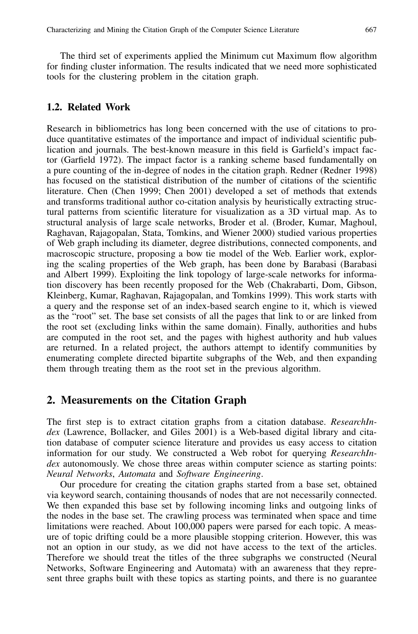The third set of experiments applied the Minimum cut Maximum flow algorithm for finding cluster information. The results indicated that we need more sophisticated tools for the clustering problem in the citation graph.

#### **1.2. Related Work**

Research in bibliometrics has long been concerned with the use of citations to produce quantitative estimates of the importance and impact of individual scientific publication and journals. The best-known measure in this field is Garfield's impact factor (Garfield 1972). The impact factor is a ranking scheme based fundamentally on a pure counting of the in-degree of nodes in the citation graph. Redner (Redner 1998) has focused on the statistical distribution of the number of citations of the scientific literature. Chen (Chen 1999; Chen 2001) developed a set of methods that extends and transforms traditional author co-citation analysis by heuristically extracting structural patterns from scientific literature for visualization as a 3D virtual map. As to structural analysis of large scale networks, Broder et al. (Broder, Kumar, Maghoul, Raghavan, Rajagopalan, Stata, Tomkins, and Wiener 2000) studied various properties of Web graph including its diameter, degree distributions, connected components, and macroscopic structure, proposing a bow tie model of the Web. Earlier work, exploring the scaling properties of the Web graph, has been done by Barabasi (Barabasi and Albert 1999). Exploiting the link topology of large-scale networks for information discovery has been recently proposed for the Web (Chakrabarti, Dom, Gibson, Kleinberg, Kumar, Raghavan, Rajagopalan, and Tomkins 1999). This work starts with a query and the response set of an index-based search engine to it, which is viewed as the "root" set. The base set consists of all the pages that link to or are linked from the root set (excluding links within the same domain). Finally, authorities and hubs are computed in the root set, and the pages with highest authority and hub values are returned. In a related project, the authors attempt to identify communities by enumerating complete directed bipartite subgraphs of the Web, and then expanding them through treating them as the root set in the previous algorithm.

## **2. Measurements on the Citation Graph**

The first step is to extract citation graphs from a citation database. *ResearchIndex* (Lawrence, Bollacker, and Giles 2001) is a Web-based digital library and citation database of computer science literature and provides us easy access to citation information for our study. We constructed a Web robot for querying *ResearchIndex* autonomously. We chose three areas within computer science as starting points: *Neural Networks*, *Automata* and *Software Engineering*.

Our procedure for creating the citation graphs started from a base set, obtained via keyword search, containing thousands of nodes that are not necessarily connected. We then expanded this base set by following incoming links and outgoing links of the nodes in the base set. The crawling process was terminated when space and time limitations were reached. About 100,000 papers were parsed for each topic. A measure of topic drifting could be a more plausible stopping criterion. However, this was not an option in our study, as we did not have access to the text of the articles. Therefore we should treat the titles of the three subgraphs we constructed (Neural Networks, Software Engineering and Automata) with an awareness that they represent three graphs built with these topics as starting points, and there is no guarantee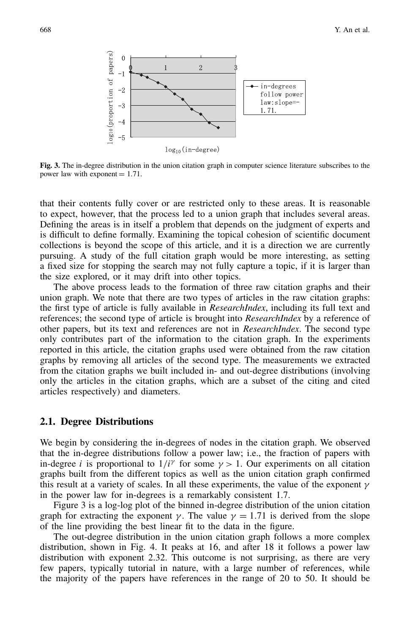

**Fig. 3.** The in-degree distribution in the union citation graph in computer science literature subscribes to the power law with exponent  $= 1.71$ .

that their contents fully cover or are restricted only to these areas. It is reasonable to expect, however, that the process led to a union graph that includes several areas. Defining the areas is in itself a problem that depends on the judgment of experts and is difficult to define formally. Examining the topical cohesion of scientific document collections is beyond the scope of this article, and it is a direction we are currently pursuing. A study of the full citation graph would be more interesting, as setting a fixed size for stopping the search may not fully capture a topic, if it is larger than the size explored, or it may drift into other topics.

The above process leads to the formation of three raw citation graphs and their union graph. We note that there are two types of articles in the raw citation graphs: the first type of article is fully available in *ResearchIndex*, including its full text and references; the second type of article is brought into *ResearchIndex* by a reference of other papers, but its text and references are not in *ResearchIndex*. The second type only contributes part of the information to the citation graph. In the experiments reported in this article, the citation graphs used were obtained from the raw citation graphs by removing all articles of the second type. The measurements we extracted from the citation graphs we built included in- and out-degree distributions (involving only the articles in the citation graphs, which are a subset of the citing and cited articles respectively) and diameters.

#### **2.1. Degree Distributions**

We begin by considering the in-degrees of nodes in the citation graph. We observed that the in-degree distributions follow a power law; i.e., the fraction of papers with in-degree *i* is proportional to  $1/i^{\gamma}$  for some  $\gamma > 1$ . Our experiments on all citation graphs built from the different topics as well as the union citation graph confirmed this result at a variety of scales. In all these experiments, the value of the exponent  $\gamma$ in the power law for in-degrees is a remarkably consistent 1.7.

Figure 3 is a log-log plot of the binned in-degree distribution of the union citation graph for extracting the exponent  $\gamma$ . The value  $\gamma = 1.71$  is derived from the slope of the line providing the best linear fit to the data in the figure.

The out-degree distribution in the union citation graph follows a more complex distribution, shown in Fig. 4. It peaks at 16, and after 18 it follows a power law distribution with exponent 2.32. This outcome is not surprising, as there are very few papers, typically tutorial in nature, with a large number of references, while the majority of the papers have references in the range of 20 to 50. It should be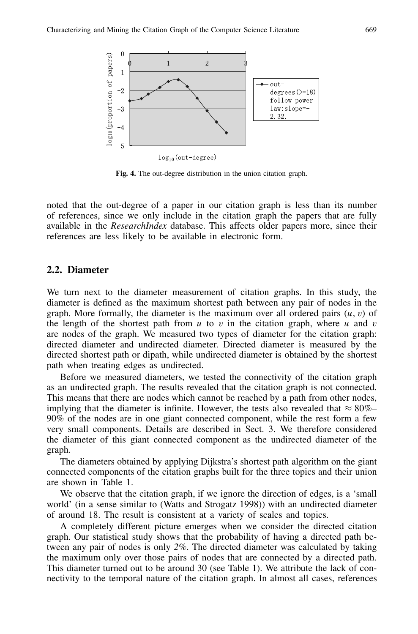

**Fig. 4.** The out-degree distribution in the union citation graph.

noted that the out-degree of a paper in our citation graph is less than its number of references, since we only include in the citation graph the papers that are fully available in the *ResearchIndex* database. This affects older papers more, since their references are less likely to be available in electronic form.

#### **2.2. Diameter**

We turn next to the diameter measurement of citation graphs. In this study, the diameter is defined as the maximum shortest path between any pair of nodes in the graph. More formally, the diameter is the maximum over all ordered pairs  $(u, v)$  of the length of the shortest path from  $u$  to  $v$  in the citation graph, where  $u$  and  $v$ are nodes of the graph. We measured two types of diameter for the citation graph: directed diameter and undirected diameter. Directed diameter is measured by the directed shortest path or dipath, while undirected diameter is obtained by the shortest path when treating edges as undirected.

Before we measured diameters, we tested the connectivity of the citation graph as an undirected graph. The results revealed that the citation graph is not connected. This means that there are nodes which cannot be reached by a path from other nodes, implying that the diameter is infinite. However, the tests also revealed that  $\approx 80\%$ 90% of the nodes are in one giant connected component, while the rest form a few very small components. Details are described in Sect. 3. We therefore considered the diameter of this giant connected component as the undirected diameter of the graph.

The diameters obtained by applying Dijkstra's shortest path algorithm on the giant connected components of the citation graphs built for the three topics and their union are shown in Table 1.

We observe that the citation graph, if we ignore the direction of edges, is a 'small world' (in a sense similar to (Watts and Strogatz 1998)) with an undirected diameter of around 18. The result is consistent at a variety of scales and topics.

A completely different picture emerges when we consider the directed citation graph. Our statistical study shows that the probability of having a directed path between any pair of nodes is only *2%*. The directed diameter was calculated by taking the maximum only over those pairs of nodes that are connected by a directed path. This diameter turned out to be around 30 (see Table 1). We attribute the lack of connectivity to the temporal nature of the citation graph. In almost all cases, references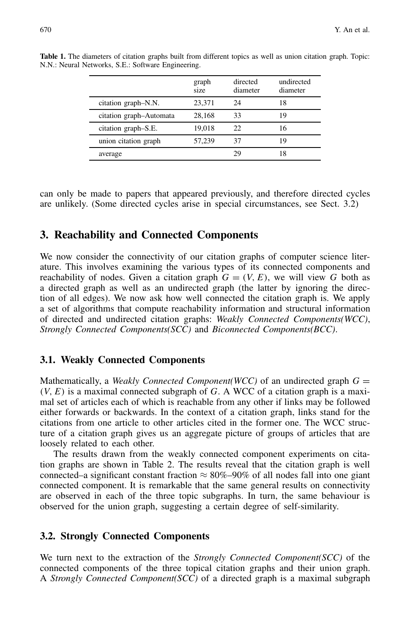|                         | graph<br>size | directed<br>diameter | undirected<br>diameter |
|-------------------------|---------------|----------------------|------------------------|
| citation graph-N.N.     | 23,371        | 24                   | 18                     |
| citation graph-Automata | 28.168        | 33                   | 19                     |
| citation graph-S.E.     | 19,018        | 22                   | 16                     |
| union citation graph    | 57.239        | 37                   | 19                     |
| average                 |               | 29                   | 18                     |

**Table 1.** The diameters of citation graphs built from different topics as well as union citation graph. Topic: N.N.: Neural Networks, S.E.: Software Engineering.

can only be made to papers that appeared previously, and therefore directed cycles are unlikely. (Some directed cycles arise in special circumstances, see Sect. 3.2)

# **3. Reachability and Connected Components**

We now consider the connectivity of our citation graphs of computer science literature. This involves examining the various types of its connected components and reachability of nodes. Given a citation graph  $G = (V, E)$ , we will view G both as a directed graph as well as an undirected graph (the latter by ignoring the direction of all edges). We now ask how well connected the citation graph is. We apply a set of algorithms that compute reachability information and structural information of directed and undirected citation graphs: *Weakly Connected Components(WCC)*, *Strongly Connected Components(SCC)* and *Biconnected Components(BCC)*.

#### **3.1. Weakly Connected Components**

Mathematically, a *Weakly Connected Component*(*WCC*) of an undirected graph  $G =$  $(V, E)$  is a maximal connected subgraph of  $G$ . A WCC of a citation graph is a maximal set of articles each of which is reachable from any other if links may be followed either forwards or backwards. In the context of a citation graph, links stand for the citations from one article to other articles cited in the former one. The WCC structure of a citation graph gives us an aggregate picture of groups of articles that are loosely related to each other.

The results drawn from the weakly connected component experiments on citation graphs are shown in Table 2. The results reveal that the citation graph is well connected–a significant constant fraction  $\approx 80\%$ –90% of all nodes fall into one giant connected component. It is remarkable that the same general results on connectivity are observed in each of the three topic subgraphs. In turn, the same behaviour is observed for the union graph, suggesting a certain degree of self-similarity.

#### **3.2. Strongly Connected Components**

We turn next to the extraction of the *Strongly Connected Component(SCC)* of the connected components of the three topical citation graphs and their union graph. A *Strongly Connected Component(SCC)* of a directed graph is a maximal subgraph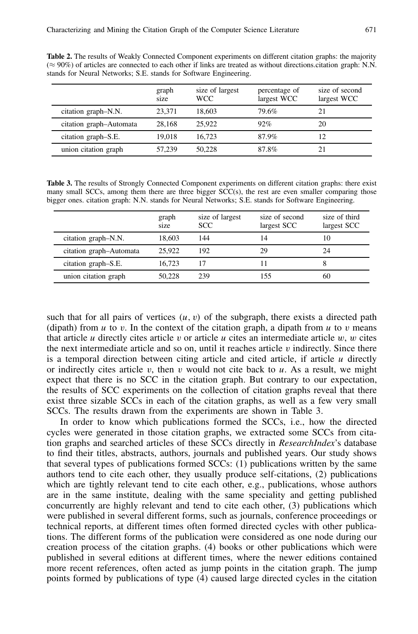|                         | graph<br>size | size of largest<br><b>WCC</b> | percentage of<br>largest WCC | size of second<br>largest WCC |
|-------------------------|---------------|-------------------------------|------------------------------|-------------------------------|
| citation graph–N.N.     | 23.371        | 18,603                        | 79.6%                        |                               |
| citation graph-Automata | 28.168        | 25,922                        | 92%                          | 20                            |
| citation graph-S.E.     | 19.018        | 16.723                        | 87.9%                        |                               |
| union citation graph    | 57.239        | 50.228                        | 87.8%                        |                               |

**Table 2.** The results of Weakly Connected Component experiments on different citation graphs: the majority (≈ 90%) of articles are connected to each other if links are treated as without directions.citation graph: N.N. stands for Neural Networks; S.E. stands for Software Engineering.

**Table 3.** The results of Strongly Connected Component experiments on different citation graphs: there exist many small SCCs, among them there are three bigger SCC(s), the rest are even smaller comparing those bigger ones. citation graph: N.N. stands for Neural Networks; S.E. stands for Software Engineering.

|                         | graph<br>size | size of largest<br>SCC. | size of second<br>largest SCC | size of third<br>largest SCC |
|-------------------------|---------------|-------------------------|-------------------------------|------------------------------|
| citation graph–N.N.     | 18.603        | 144                     |                               | 10                           |
| citation graph-Automata | 25.922        | 192                     | 29                            | 24                           |
| citation graph-S.E.     | 16.723        |                         |                               |                              |
| union citation graph    | 50.228        | 239                     | 155                           | 60                           |

such that for all pairs of vertices  $(u, v)$  of the subgraph, there exists a directed path (dipath) from  $u$  to  $v$ . In the context of the citation graph, a dipath from  $u$  to  $v$  means that article  $u$  directly cites article  $v$  or article  $u$  cites an intermediate article  $w$ ,  $w$  cites the next intermediate article and so on, until it reaches article  $v$  indirectly. Since there is a temporal direction between citing article and cited article, if article *u* directly or indirectly cites article  $v$ , then  $v$  would not cite back to  $u$ . As a result, we might expect that there is no SCC in the citation graph. But contrary to our expectation, the results of SCC experiments on the collection of citation graphs reveal that there exist three sizable SCCs in each of the citation graphs, as well as a few very small SCCs. The results drawn from the experiments are shown in Table 3.

In order to know which publications formed the SCCs, i.e., how the directed cycles were generated in those citation graphs, we extracted some SCCs from citation graphs and searched articles of these SCCs directly in *ResearchIndex*'s database to find their titles, abstracts, authors, journals and published years. Our study shows that several types of publications formed SCCs: (1) publications written by the same authors tend to cite each other, they usually produce self-citations, (2) publications which are tightly relevant tend to cite each other, e.g., publications, whose authors are in the same institute, dealing with the same speciality and getting published concurrently are highly relevant and tend to cite each other, (3) publications which were published in several different forms, such as journals, conference proceedings or technical reports, at different times often formed directed cycles with other publications. The different forms of the publication were considered as one node during our creation process of the citation graphs. (4) books or other publications which were published in several editions at different times, where the newer editions contained more recent references, often acted as jump points in the citation graph. The jump points formed by publications of type (4) caused large directed cycles in the citation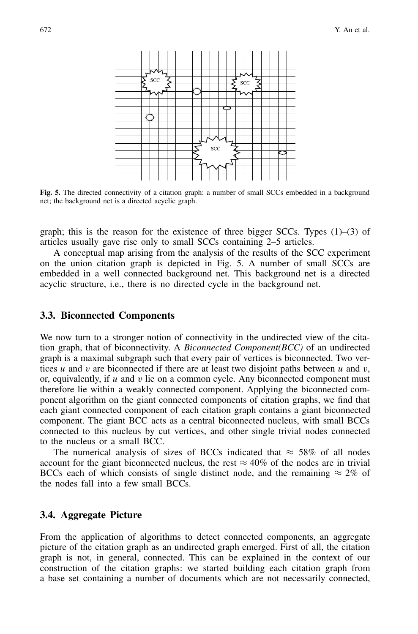

**Fig. 5.** The directed connectivity of a citation graph: a number of small SCCs embedded in a background net; the background net is a directed acyclic graph.

graph; this is the reason for the existence of three bigger  $SCCs$ . Types  $(1)$ – $(3)$  of articles usually gave rise only to small SCCs containing 2–5 articles.

A conceptual map arising from the analysis of the results of the SCC experiment on the union citation graph is depicted in Fig. 5. A number of small SCCs are embedded in a well connected background net. This background net is a directed acyclic structure, i.e., there is no directed cycle in the background net.

#### **3.3. Biconnected Components**

We now turn to a stronger notion of connectivity in the undirected view of the citation graph, that of biconnectivity. A *Biconnected Component(BCC)* of an undirected graph is a maximal subgraph such that every pair of vertices is biconnected. Two vertices *u* and *v* are biconnected if there are at least two disjoint paths between *u* and *v*, or, equivalently, if *u* and v lie on a common cycle. Any biconnected component must therefore lie within a weakly connected component. Applying the biconnected component algorithm on the giant connected components of citation graphs, we find that each giant connected component of each citation graph contains a giant biconnected component. The giant BCC acts as a central biconnected nucleus, with small BCCs connected to this nucleus by cut vertices, and other single trivial nodes connected to the nucleus or a small BCC.

The numerical analysis of sizes of BCCs indicated that  $\approx$  58% of all nodes account for the giant biconnected nucleus, the rest  $\approx 40\%$  of the nodes are in trivial BCCs each of which consists of single distinct node, and the remaining  $\approx 2\%$  of the nodes fall into a few small BCCs.

#### **3.4. Aggregate Picture**

From the application of algorithms to detect connected components, an aggregate picture of the citation graph as an undirected graph emerged. First of all, the citation graph is not, in general, connected. This can be explained in the context of our construction of the citation graphs: we started building each citation graph from a base set containing a number of documents which are not necessarily connected,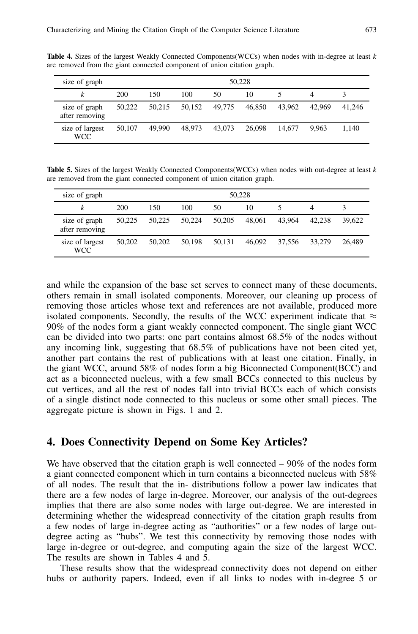| size of graph                   | 50.228 |        |        |        |        |        |        |        |
|---------------------------------|--------|--------|--------|--------|--------|--------|--------|--------|
| k                               | 200    | 150    | 100    | 50     | 10     |        |        |        |
| size of graph<br>after removing | 50,222 | 50,215 | 50,152 | 49,775 | 46,850 | 43,962 | 42.969 | 41.246 |
| size of largest<br><b>WCC</b>   | 50,107 | 49,990 | 48.973 | 43,073 | 26,098 | 14.677 | 9.963  | 1.140  |

**Table 4.** Sizes of the largest Weakly Connected Components(WCCs) when nodes with in-degree at least *k* are removed from the giant connected component of union citation graph.

**Table 5.** Sizes of the largest Weakly Connected Components(WCCs) when nodes with out-degree at least *k* are removed from the giant connected component of union citation graph.

| size of graph                   | 50.228 |        |        |        |        |        |        |        |
|---------------------------------|--------|--------|--------|--------|--------|--------|--------|--------|
| k                               | 200    | 150    | 100    | 50     | 10     |        |        |        |
| size of graph<br>after removing | 50,225 | 50.225 | 50.224 | 50,205 | 48.061 | 43.964 | 42.238 | 39.622 |
| size of largest<br><b>WCC</b>   | 50,202 | 50,202 | 50.198 | 50.131 | 46,092 | 37.556 | 33,279 | 26.489 |

and while the expansion of the base set serves to connect many of these documents, others remain in small isolated components. Moreover, our cleaning up process of removing those articles whose text and references are not available, produced more isolated components. Secondly, the results of the WCC experiment indicate that  $\approx$ 90% of the nodes form a giant weakly connected component. The single giant WCC can be divided into two parts: one part contains almost 68.5% of the nodes without any incoming link, suggesting that 68.5% of publications have not been cited yet, another part contains the rest of publications with at least one citation. Finally, in the giant WCC, around 58% of nodes form a big Biconnected Component(BCC) and act as a biconnected nucleus, with a few small BCCs connected to this nucleus by cut vertices, and all the rest of nodes fall into trivial BCCs each of which consists of a single distinct node connected to this nucleus or some other small pieces. The aggregate picture is shown in Figs. 1 and 2.

# **4. Does Connectivity Depend on Some Key Articles?**

We have observed that the citation graph is well connected – 90% of the nodes form a giant connected component which in turn contains a biconnected nucleus with 58% of all nodes. The result that the in- distributions follow a power law indicates that there are a few nodes of large in-degree. Moreover, our analysis of the out-degrees implies that there are also some nodes with large out-degree. We are interested in determining whether the widespread connectivity of the citation graph results from a few nodes of large in-degree acting as "authorities" or a few nodes of large outdegree acting as "hubs". We test this connectivity by removing those nodes with large in-degree or out-degree, and computing again the size of the largest WCC. The results are shown in Tables 4 and 5.

These results show that the widespread connectivity does not depend on either hubs or authority papers. Indeed, even if all links to nodes with in-degree 5 or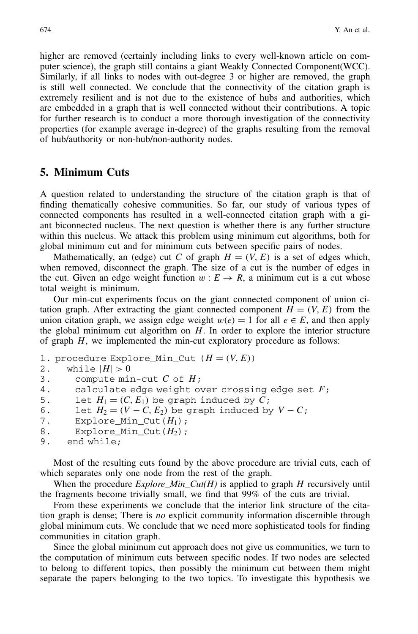higher are removed (certainly including links to every well-known article on computer science), the graph still contains a giant Weakly Connected Component(WCC). Similarly, if all links to nodes with out-degree 3 or higher are removed, the graph is still well connected. We conclude that the connectivity of the citation graph is extremely resilient and is not due to the existence of hubs and authorities, which are embedded in a graph that is well connected without their contributions. A topic for further research is to conduct a more thorough investigation of the connectivity properties (for example average in-degree) of the graphs resulting from the removal of hub/authority or non-hub/non-authority nodes.

#### **5. Minimum Cuts**

A question related to understanding the structure of the citation graph is that of finding thematically cohesive communities. So far, our study of various types of connected components has resulted in a well-connected citation graph with a giant biconnected nucleus. The next question is whether there is any further structure within this nucleus. We attack this problem using minimum cut algorithms, both for global minimum cut and for minimum cuts between specific pairs of nodes.

Mathematically, an (edge) cut *C* of graph  $H = (V, E)$  is a set of edges which, when removed, disconnect the graph. The size of a cut is the number of edges in the cut. Given an edge weight function  $w : E \to R$ , a minimum cut is a cut whose total weight is minimum.

Our min-cut experiments focus on the giant connected component of union citation graph. After extracting the giant connected component  $H = (V, E)$  from the union citation graph, we assign edge weight  $w(e) = 1$  for all  $e \in E$ , and then apply the global minimum cut algorithm on *H*. In order to explore the interior structure of graph *H*, we implemented the min-cut exploratory procedure as follows:

```
1. procedure Explore_Min_Cut (H = (V, E))
```

```
2. while |H| > 0
```

```
3. compute min-cut C of H;
```

```
4. calculate edge weight over crossing edge set F;
```

```
5. Let H_1 = (C, E_1) be graph induced by C_i;
```

```
6. let H_2 = (V - C, E_2) be graph induced by V - C;<br>7. Explore Min Cut(H_1):
```

```
Explore_Min_Cut(H_1);
```

```
8. Explore_Min_Cut(H_2);
```

```
9. end while;
```
Most of the resulting cuts found by the above procedure are trivial cuts, each of which separates only one node from the rest of the graph.

When the procedure *Explore\_Min\_Cut(H)* is applied to graph *H* recursively until the fragments become trivially small, we find that 99% of the cuts are trivial.

From these experiments we conclude that the interior link structure of the citation graph is dense; There is *no* explicit community information discernible through global minimum cuts. We conclude that we need more sophisticated tools for finding communities in citation graph.

Since the global minimum cut approach does not give us communities, we turn to the computation of minimum cuts between specific nodes. If two nodes are selected to belong to different topics, then possibly the minimum cut between them might separate the papers belonging to the two topics. To investigate this hypothesis we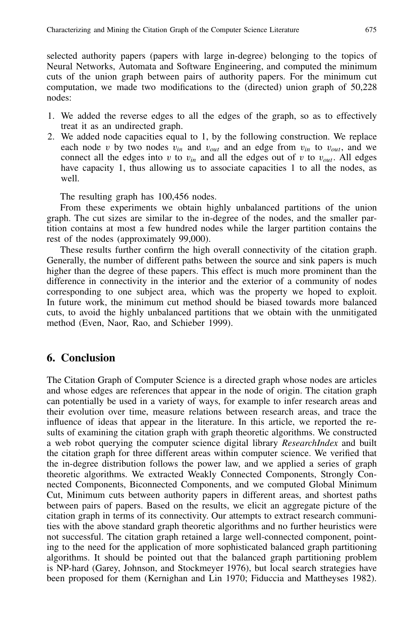selected authority papers (papers with large in-degree) belonging to the topics of Neural Networks, Automata and Software Engineering, and computed the minimum cuts of the union graph between pairs of authority papers. For the minimum cut computation, we made two modifications to the (directed) union graph of 50,228 nodes:

- 1. We added the reverse edges to all the edges of the graph, so as to effectively treat it as an undirected graph.
- 2. We added node capacities equal to 1, by the following construction. We replace each node v by two nodes  $v_{in}$  and  $v_{out}$  and an edge from  $v_{in}$  to  $v_{out}$ , and we connect all the edges into  $v$  to  $v_{in}$  and all the edges out of  $v$  to  $v_{out}$ . All edges have capacity 1, thus allowing us to associate capacities 1 to all the nodes, as well.

The resulting graph has 100,456 nodes.

From these experiments we obtain highly unbalanced partitions of the union graph. The cut sizes are similar to the in-degree of the nodes, and the smaller partition contains at most a few hundred nodes while the larger partition contains the rest of the nodes (approximately 99,000).

These results further confirm the high overall connectivity of the citation graph. Generally, the number of different paths between the source and sink papers is much higher than the degree of these papers. This effect is much more prominent than the difference in connectivity in the interior and the exterior of a community of nodes corresponding to one subject area, which was the property we hoped to exploit. In future work, the minimum cut method should be biased towards more balanced cuts, to avoid the highly unbalanced partitions that we obtain with the unmitigated method (Even, Naor, Rao, and Schieber 1999).

## **6. Conclusion**

The Citation Graph of Computer Science is a directed graph whose nodes are articles and whose edges are references that appear in the node of origin. The citation graph can potentially be used in a variety of ways, for example to infer research areas and their evolution over time, measure relations between research areas, and trace the influence of ideas that appear in the literature. In this article, we reported the results of examining the citation graph with graph theoretic algorithms. We constructed a web robot querying the computer science digital library *ResearchIndex* and built the citation graph for three different areas within computer science. We verified that the in-degree distribution follows the power law, and we applied a series of graph theoretic algorithms. We extracted Weakly Connected Components, Strongly Connected Components, Biconnected Components, and we computed Global Minimum Cut, Minimum cuts between authority papers in different areas, and shortest paths between pairs of papers. Based on the results, we elicit an aggregate picture of the citation graph in terms of its connectivity. Our attempts to extract research communities with the above standard graph theoretic algorithms and no further heuristics were not successful. The citation graph retained a large well-connected component, pointing to the need for the application of more sophisticated balanced graph partitioning algorithms. It should be pointed out that the balanced graph partitioning problem is NP-hard (Garey, Johnson, and Stockmeyer 1976), but local search strategies have been proposed for them (Kernighan and Lin 1970; Fiduccia and Mattheyses 1982).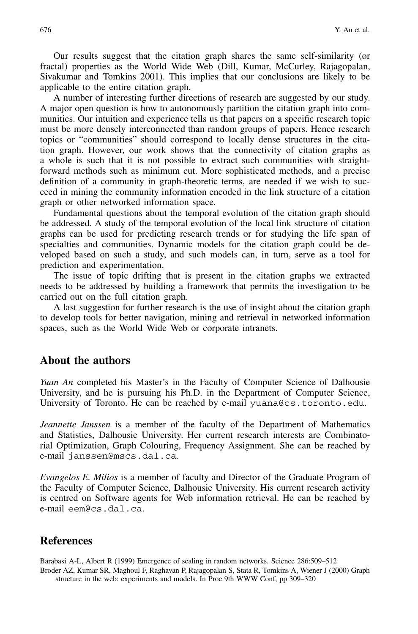Our results suggest that the citation graph shares the same self-similarity (or fractal) properties as the World Wide Web (Dill, Kumar, McCurley, Rajagopalan, Sivakumar and Tomkins 2001). This implies that our conclusions are likely to be applicable to the entire citation graph.

A number of interesting further directions of research are suggested by our study. A major open question is how to autonomously partition the citation graph into communities. Our intuition and experience tells us that papers on a specific research topic must be more densely interconnected than random groups of papers. Hence research topics or "communities" should correspond to locally dense structures in the citation graph. However, our work shows that the connectivity of citation graphs as a whole is such that it is not possible to extract such communities with straightforward methods such as minimum cut. More sophisticated methods, and a precise definition of a community in graph-theoretic terms, are needed if we wish to succeed in mining the community information encoded in the link structure of a citation graph or other networked information space.

Fundamental questions about the temporal evolution of the citation graph should be addressed. A study of the temporal evolution of the local link structure of citation graphs can be used for predicting research trends or for studying the life span of specialties and communities. Dynamic models for the citation graph could be developed based on such a study, and such models can, in turn, serve as a tool for prediction and experimentation.

The issue of topic drifting that is present in the citation graphs we extracted needs to be addressed by building a framework that permits the investigation to be carried out on the full citation graph.

A last suggestion for further research is the use of insight about the citation graph to develop tools for better navigation, mining and retrieval in networked information spaces, such as the World Wide Web or corporate intranets.

# **About the authors**

*Yuan An* completed his Master's in the Faculty of Computer Science of Dalhousie University, and he is pursuing his Ph.D. in the Department of Computer Science, University of Toronto. He can be reached by e-mail yuana@cs.toronto.edu.

*Jeannette Janssen* is a member of the faculty of the Department of Mathematics and Statistics, Dalhousie University. Her current research interests are Combinatorial Optimization, Graph Colouring, Frequency Assignment. She can be reached by e-mail janssen@mscs.dal.ca.

*Evangelos E. Milios* is a member of faculty and Director of the Graduate Program of the Faculty of Computer Science, Dalhousie University. His current research activity is centred on Software agents for Web information retrieval. He can be reached by e-mail eem@cs.dal.ca.

# **References**

Barabasi A-L, Albert R (1999) Emergence of scaling in random networks. Science 286:509–512 Broder AZ, Kumar SR, Maghoul F, Raghavan P, Rajagopalan S, Stata R, Tomkins A, Wiener J (2000) Graph structure in the web: experiments and models. In Proc 9th WWW Conf, pp 309–320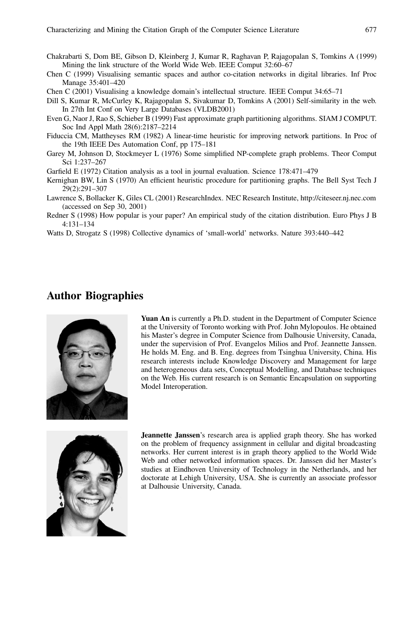- Chakrabarti S, Dom BE, Gibson D, Kleinberg J, Kumar R, Raghavan P, Rajagopalan S, Tomkins A (1999) Mining the link structure of the World Wide Web. IEEE Comput 32:60–67
- Chen C (1999) Visualising semantic spaces and author co-citation networks in digital libraries. Inf Proc Manage 35:401–420
- Chen C (2001) Visualising a knowledge domain's intellectual structure. IEEE Comput 34:65–71
- Dill S, Kumar R, McCurley K, Rajagopalan S, Sivakumar D, Tomkins A (2001) Self-similarity in the web. In 27th Int Conf on Very Large Databases (VLDB2001)
- Even G, Naor J, Rao S, Schieber B (1999) Fast approximate graph partitioning algorithms. SIAM J COMPUT. Soc Ind Appl Math 28(6):2187–2214
- Fiduccia CM, Mattheyses RM (1982) A linear-time heuristic for improving network partitions. In Proc of the 19th IEEE Des Automation Conf, pp 175–181
- Garey M, Johnson D, Stockmeyer L (1976) Some simplified NP-complete graph problems. Theor Comput Sci 1:237–267
- Garfield E (1972) Citation analysis as a tool in journal evaluation. Science 178:471–479
- Kernighan BW, Lin S (1970) An efficient heuristic procedure for partitioning graphs. The Bell Syst Tech J 29(2):291–307
- Lawrence S, Bollacker K, Giles CL (2001) ResearchIndex. NEC Research Institute, http://citeseer.nj.nec.com (accessed on Sep 30, 2001)
- Redner S (1998) How popular is your paper? An empirical study of the citation distribution. Euro Phys J B 4:131–134
- Watts D, Strogatz S (1998) Collective dynamics of 'small-world' networks. Nature 393:440–442

## **Author Biographies**



**Yuan An** is currently a Ph.D. student in the Department of Computer Science at the University of Toronto working with Prof. John Mylopoulos. He obtained his Master's degree in Computer Science from Dalhousie University, Canada, under the supervision of Prof. Evangelos Milios and Prof. Jeannette Janssen. He holds M. Eng. and B. Eng. degrees from Tsinghua University, China. His research interests include Knowledge Discovery and Management for large and heterogeneous data sets, Conceptual Modelling, and Database techniques on the Web. His current research is on Semantic Encapsulation on supporting Model Interoperation.



**Jeannette Janssen**'s research area is applied graph theory. She has worked on the problem of frequency assignment in cellular and digital broadcasting networks. Her current interest is in graph theory applied to the World Wide Web and other networked information spaces. Dr. Janssen did her Master's studies at Eindhoven University of Technology in the Netherlands, and her doctorate at Lehigh University, USA. She is currently an associate professor at Dalhousie University, Canada.